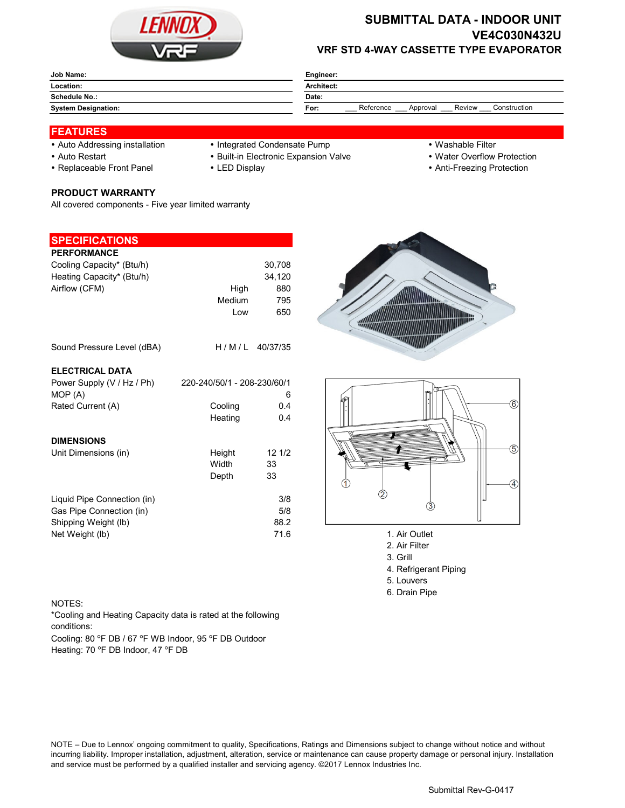

# **SUBMITTAL DATA - INDOOR UNIT VE4C030N432U VRF STD 4-WAY CASSETTE TYPE EVAPORATOR**

| Job Name:                  | Engineer:                                               |  |  |  |
|----------------------------|---------------------------------------------------------|--|--|--|
| Location:                  | Architect:                                              |  |  |  |
| <b>Schedule No.:</b>       | Date:                                                   |  |  |  |
| <b>System Designation:</b> | Reference<br>Construction<br>Review<br>Approval<br>For: |  |  |  |

## **FEATURES**

- Auto Addressing installation Integrated Condensate Pump Washable Filter
- 
- 

**PRODUCT WARRANTY**

**SPECIFICATIONS**

All covered components - Five year limited warranty

- -
- 
- Auto Restart **Built-in Electronic Expansion Valve Water Overflow Protection**
- Replaceable Front Panel LED Display Anti-Freezing Protection

| <b>PERFORMANCE</b>          |                             |                  |                    |
|-----------------------------|-----------------------------|------------------|--------------------|
| Cooling Capacity* (Btu/h)   |                             | 30,708           |                    |
| Heating Capacity* (Btu/h)   |                             | 34,120           |                    |
| Airflow (CFM)               | High                        | 880              |                    |
|                             | Medium                      | 795              |                    |
|                             | Low                         | 650              |                    |
| Sound Pressure Level (dBA)  |                             | $H/M/L$ 40/37/35 |                    |
| <b>ELECTRICAL DATA</b>      |                             |                  |                    |
| Power Supply (V / Hz / Ph)  | 220-240/50/1 - 208-230/60/1 |                  |                    |
| MOP (A)                     |                             | 6                |                    |
| Rated Current (A)           | Cooling                     | 0.4              |                    |
|                             | Heating                     | 0.4              |                    |
| <b>DIMENSIONS</b>           |                             |                  |                    |
| Unit Dimensions (in)        | Height                      | 121/2            |                    |
|                             | Width                       | 33               |                    |
|                             | Depth                       | 33               |                    |
| Liquid Pipe Connection (in) |                             | 3/8              |                    |
| Gas Pipe Connection (in)    |                             | 5/8              | З                  |
| Shipping Weight (lb)        |                             | 88.2             |                    |
| Net Weight (lb)             |                             | 71.6             | 1. Air Outlet      |
|                             |                             |                  | $2.11$ $\mu$ $\mu$ |





- 
- 2. Air Filter 3. Grill
- 
- 4. Refrigerant Piping 5. Louvers
- 6. Drain Pipe

### NOTES:

\*Cooling and Heating Capacity data is rated at the following conditions:

Cooling: 80 °F DB / 67 °F WB Indoor, 95 °F DB Outdoor Heating: 70 °F DB Indoor, 47 °F DB

NOTE – Due to Lennox' ongoing commitment to quality, Specifications, Ratings and Dimensions subject to change without notice and without incurring liability. Improper installation, adjustment, alteration, service or maintenance can cause property damage or personal injury. Installation and service must be performed by a qualified installer and servicing agency. ©2017 Lennox Industries Inc.